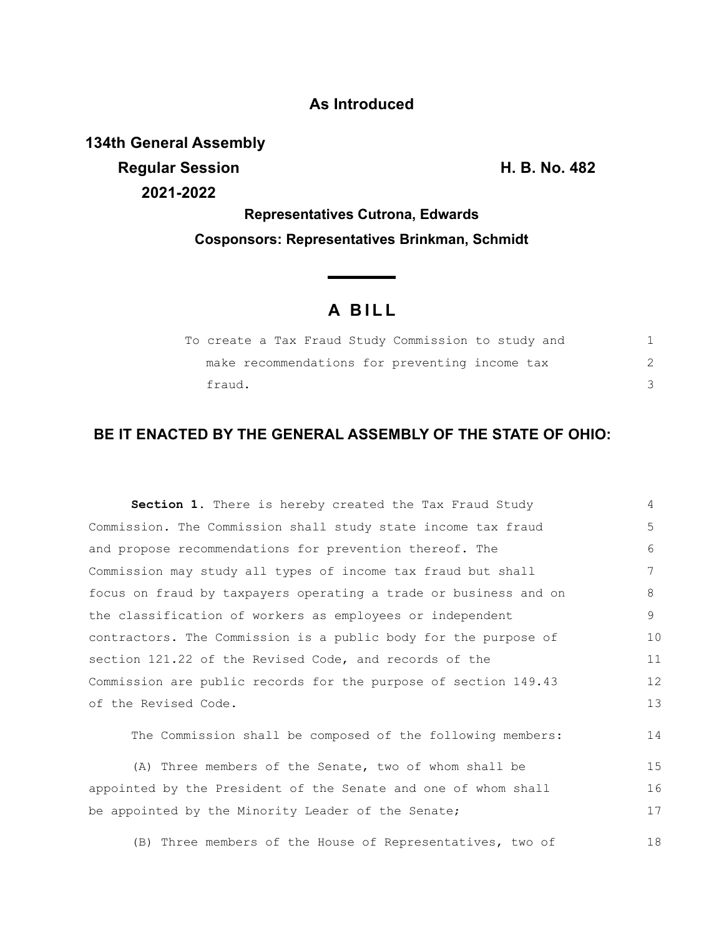## **As Introduced**

**134th General Assembly Regular Session H. B. No. 482 2021-2022**

**Representatives Cutrona, Edwards Cosponsors: Representatives Brinkman, Schmidt**

## **A BILL**

**Contract Contract Contract** 

| To create a Tax Fraud Study Commission to study and |  |  |
|-----------------------------------------------------|--|--|
| make recommendations for preventing income tax      |  |  |
| fraud.                                              |  |  |

## **BE IT ENACTED BY THE GENERAL ASSEMBLY OF THE STATE OF OHIO:**

| <b>Section 1.</b> There is hereby created the Tax Fraud Study    | 4  |  |  |  |
|------------------------------------------------------------------|----|--|--|--|
| Commission. The Commission shall study state income tax fraud    | 5  |  |  |  |
| and propose recommendations for prevention thereof. The          |    |  |  |  |
| Commission may study all types of income tax fraud but shall     |    |  |  |  |
| focus on fraud by taxpayers operating a trade or business and on | 8  |  |  |  |
| the classification of workers as employees or independent        |    |  |  |  |
| contractors. The Commission is a public body for the purpose of  |    |  |  |  |
| section 121.22 of the Revised Code, and records of the           |    |  |  |  |
| Commission are public records for the purpose of section 149.43  |    |  |  |  |
| of the Revised Code.                                             |    |  |  |  |
| The Commission shall be composed of the following members:       | 14 |  |  |  |
| (A) Three members of the Senate, two of whom shall be            | 15 |  |  |  |
| appointed by the President of the Senate and one of whom shall   |    |  |  |  |
| be appointed by the Minority Leader of the Senate;               |    |  |  |  |

(B) Three members of the House of Representatives, two of 18